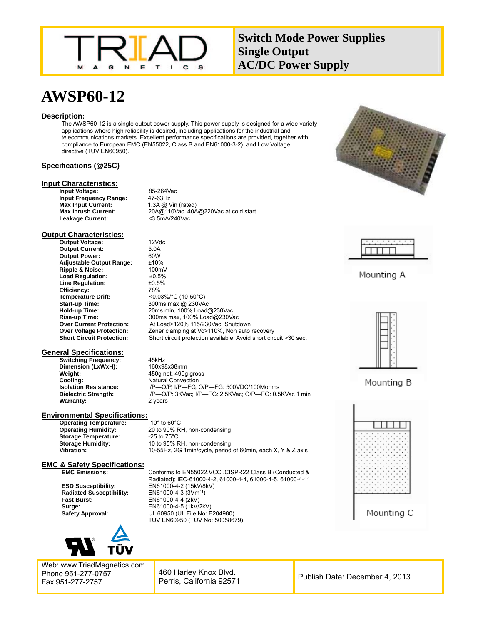

## **Switch Mode Power Supplies Single Output AC/DC Power Supply**

# **AWSP60-12**

#### **Description:**

The AWSP60-12 is a single output power supply. This power supply is designed for a wide variety applications where high reliability is desired, including applications for the industrial and telecommunications markets. Excellent performance specifications are provided, together with compliance to European EMC (EN55022, Class B and EN61000-3-2), and Low Voltage directive (TUV EN60950).

#### **Specifications (@25C)**

#### **Input Characteristics:**

**Input Voltage:** 85-264Vac<br> **Input Frequency Range:** 47-63Hz **Input Frequency Range:** 47-63Hz<br>**Max Input Current:** 1.3A @ Vin (rated) **Max Input Current:**<br>Max Inrush Current: **Leakage Current:** 

**Max Inrush Current:** 20A@110Vac, 40A@220Vac at cold start

**Hold-up Time:** 20ms min, 100% Load@230Vac

#### **Output Characteristics:**

**Output Voltage:** 12Vdc **Output Current:** 5.0A<br> **Output Power:** 60W **Output Power:** 60W<br> **Adiustable Output Range:** +10% **Adjustable Output Range: Ripple & Noise:** 100mV<br> **Load Requlation:** 10.5% **Load Regulation:**  $\text{ }$   $\text{ }$   $\text{ }$   $\text{ }$   $\text{ }$   $\text{ }$   $\text{ }$   $\text{ }$   $\text{ }$   $\text{ }$   $\text{ }$   $\text{ }$   $\text{ }$   $\text{ }$   $\text{ }$   $\text{ }$   $\text{ }$   $\text{ }$   $\text{ }$   $\text{ }$   $\text{ }$   $\text{ }$   $\text{ }$   $\text{ }$   $\text{ }$   $\text{ }$   $\text{ }$   $\text{ }$   $\text{ }$  **Line Regulation: Efficiency:** 78%<br> **Temperature Drift:** <0.0 **Temperature Drift:**  $\leq 0.03\%$  (10-50°C)<br> **Start-up Time:** 300ms max @ 230VA **Start-up Time:** 300ms max @ 230VAc<br> **Hold-up Time:** 20ms min, 100% Load **Rise-up Time:** 300ms max, 100% Load@230Vac **Over Current Protection:** At Load>120% 115/230Vac, Shutdown<br>**Over Voltage Protection:** Zener clamping at Vo>110%, Non auto **Over Voltage Protection:** Zener clamping at Vo>110%, Non auto recovery<br> **Short Circuit Protection:** Short circuit protection available. Avoid short circ

## **General Specifications:**

**Switching Frequency:** 45kHz **Dimension (LxWxH): Weight:** 450g net, 490g gross<br> **Cooling:** 450g net all and the Natural Convection **Cooling:** Natural Convection<br>**Isolation Resistance:** I/P-O/P, I/P-FG, 0 **Isolation Resistance:** I/P—O/P, I/P—FG, O/P—FG: 500VDC/100Mohms **Warranty:** 2 years

#### **Environmental Specifications:**<br>**Operating Temperature:** 10° to 60°C **Operating Temperature:**

**Operating Humidity:** 20 to 90% RH, non-condensing **Storage Temperature:** -25 to 75°C<br>**Storage Humidity:** 10 to 95% F 10 to 95% RH, non-condensing **Vibration:** 10-55Hz, 2G 1min/cycle, period of 60min, each X, Y & Z axis

Short circuit protection available. Avoid short circuit >30 sec.

**Dielectric Strength:** I/P—O/P: 3KVac; I/P—FG: 2.5KVac; O/P—FG: 0.5KVac 1 min

## **EMC & Safety Specifications:**

**Radiated Susceptibility:**<br>Fast Burst:



Web: www.TriadMagnetics.com Phone 951-277-0757 Fax 951-277-2757

**EMC Emissions:** Conforms to EN55022,VCCI,CISPR22 Class B (Conducted & Radiated); IEC-61000-4-2, 61000-4-4, 61000-4-5, 61000-4-11 ESD Susceptibility: EN61000-4-2 (15kV/8kV)<br>Radiated Susceptibility: EN61000-4-3 (3Vm<sup>-1</sup>) **Fast Burst:** EN61000-4-4 (2kV) **Surge:** EN61000-4-5 (1kV/2kV) **Safety Approval:** UL 60950 (UL File No: E204980) TUV EN60950 (TUV No: 50058679)

> 460 Harley Knox Blvd. Perris, California 92571 Publish Date: December 4, 2013







Mounting B